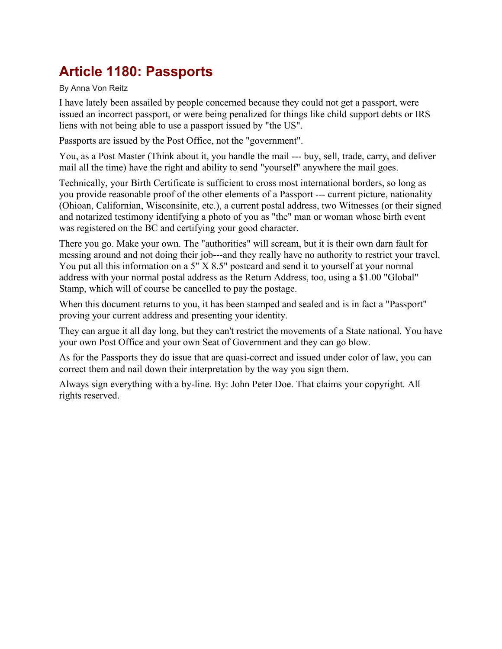## **Article 1180: Passports**

## By Anna Von Reitz

I have lately been assailed by people concerned because they could not get a passport, were issued an incorrect passport, or were being penalized for things like child support debts or IRS liens with not being able to use a passport issued by "the US".

Passports are issued by the Post Office, not the "government".

You, as a Post Master (Think about it, you handle the mail --- buy, sell, trade, carry, and deliver mail all the time) have the right and ability to send "yourself" anywhere the mail goes.

Technically, your Birth Certificate is sufficient to cross most international borders, so long as you provide reasonable proof of the other elements of a Passport --- current picture, nationality (Ohioan, Californian, Wisconsinite, etc.), a current postal address, two Witnesses (or their signed and notarized testimony identifying a photo of you as "the" man or woman whose birth event was registered on the BC and certifying your good character.

There you go. Make your own. The "authorities" will scream, but it is their own darn fault for messing around and not doing their job---and they really have no authority to restrict your travel. You put all this information on a 5" X 8.5" postcard and send it to yourself at your normal address with your normal postal address as the Return Address, too, using a \$1.00 "Global" Stamp, which will of course be cancelled to pay the postage.

When this document returns to you, it has been stamped and sealed and is in fact a "Passport" proving your current address and presenting your identity.

They can argue it all day long, but they can't restrict the movements of a State national. You have your own Post Office and your own Seat of Government and they can go blow.

As for the Passports they do issue that are quasi-correct and issued under color of law, you can correct them and nail down their interpretation by the way you sign them.

Always sign everything with a by-line. By: John Peter Doe. That claims your copyright. All rights reserved.